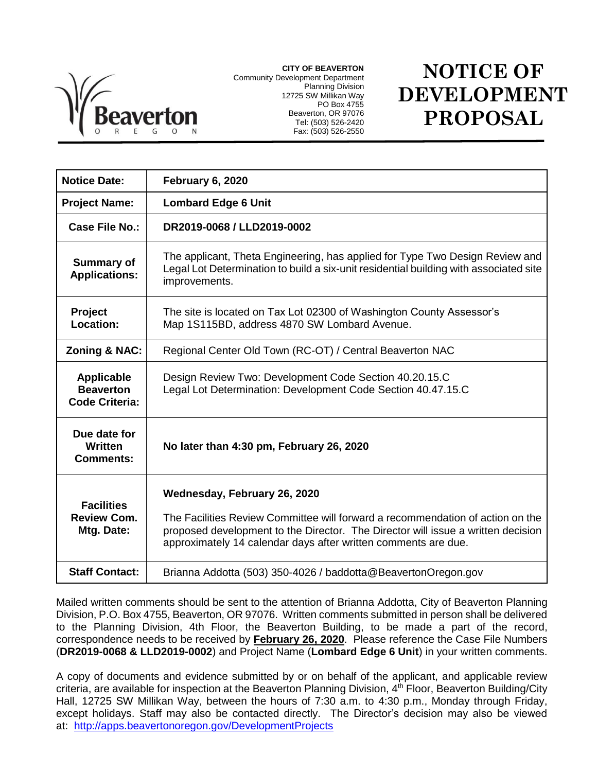

**CITY OF BEAVERTON** Community Development Department Planning Division 12725 SW Millikan Way PO Box 4755 Beaverton, OR 97076 Tel: (503) 526-2420 Fax: (503) 526-2550

## **NOTICE OF DEVELOPMENT PROPOSAL**

| <b>Notice Date:</b>                                            | February 6, 2020                                                                                                                                                                                                                                                     |
|----------------------------------------------------------------|----------------------------------------------------------------------------------------------------------------------------------------------------------------------------------------------------------------------------------------------------------------------|
| <b>Project Name:</b>                                           | <b>Lombard Edge 6 Unit</b>                                                                                                                                                                                                                                           |
| Case File No.:                                                 | DR2019-0068 / LLD2019-0002                                                                                                                                                                                                                                           |
| <b>Summary of</b><br><b>Applications:</b>                      | The applicant, Theta Engineering, has applied for Type Two Design Review and<br>Legal Lot Determination to build a six-unit residential building with associated site<br>improvements.                                                                               |
| <b>Project</b><br>Location:                                    | The site is located on Tax Lot 02300 of Washington County Assessor's<br>Map 1S115BD, address 4870 SW Lombard Avenue.                                                                                                                                                 |
| Zoning & NAC:                                                  | Regional Center Old Town (RC-OT) / Central Beaverton NAC                                                                                                                                                                                                             |
| <b>Applicable</b><br><b>Beaverton</b><br><b>Code Criteria:</b> | Design Review Two: Development Code Section 40.20.15.C<br>Legal Lot Determination: Development Code Section 40.47.15.C                                                                                                                                               |
| Due date for<br>Written<br><b>Comments:</b>                    | No later than 4:30 pm, February 26, 2020                                                                                                                                                                                                                             |
| <b>Facilities</b><br><b>Review Com.</b><br>Mtg. Date:          | Wednesday, February 26, 2020<br>The Facilities Review Committee will forward a recommendation of action on the<br>proposed development to the Director. The Director will issue a written decision<br>approximately 14 calendar days after written comments are due. |
| <b>Staff Contact:</b>                                          | Brianna Addotta (503) 350-4026 / baddotta@BeavertonOregon.gov                                                                                                                                                                                                        |

Mailed written comments should be sent to the attention of Brianna Addotta, City of Beaverton Planning Division, P.O. Box 4755, Beaverton, OR 97076. Written comments submitted in person shall be delivered to the Planning Division, 4th Floor, the Beaverton Building, to be made a part of the record, correspondence needs to be received by **February 26, 2020**. Please reference the Case File Numbers (**DR2019-0068 & LLD2019-0002**) and Project Name (**Lombard Edge 6 Unit**) in your written comments.

A copy of documents and evidence submitted by or on behalf of the applicant, and applicable review criteria, are available for inspection at the Beaverton Planning Division, 4<sup>th</sup> Floor, Beaverton Building/City Hall, 12725 SW Millikan Way, between the hours of 7:30 a.m. to 4:30 p.m., Monday through Friday, except holidays. Staff may also be contacted directly. The Director's decision may also be viewed at: <http://apps.beavertonoregon.gov/DevelopmentProjects>